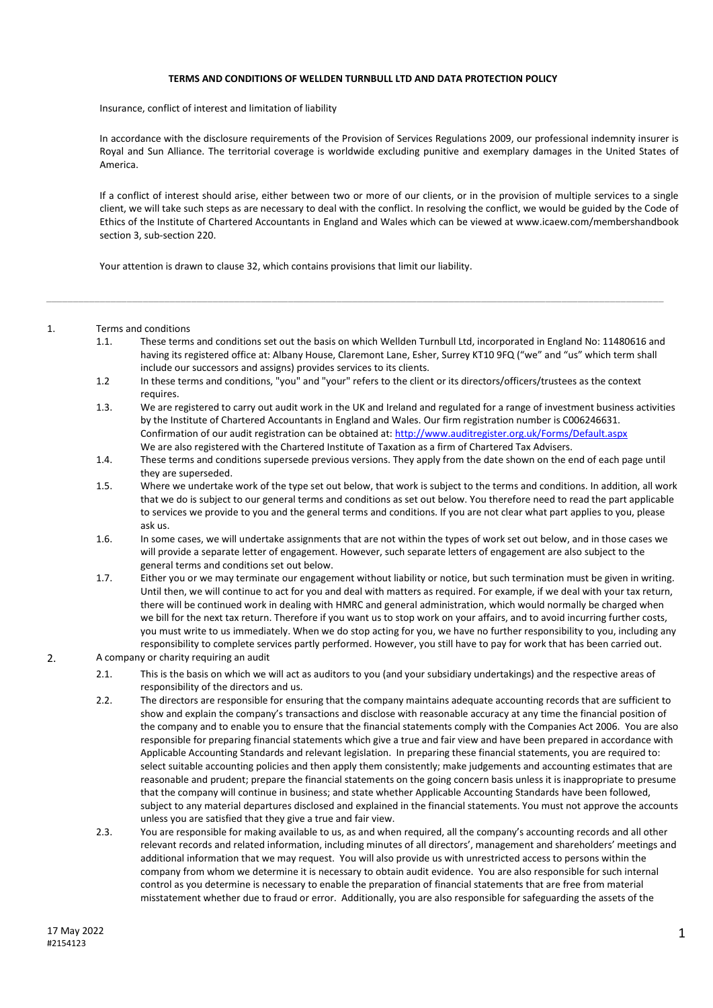## **TERMS AND CONDITIONS OF WELLDEN TURNBULL LTD AND DATA PROTECTION POLICY**

Insurance, conflict of interest and limitation of liability

In accordance with the disclosure requirements of the Provision of Services Regulations 2009, our professional indemnity insurer is Royal and Sun Alliance. The territorial coverage is worldwide excluding punitive and exemplary damages in the United States of America.

If a conflict of interest should arise, either between two or more of our clients, or in the provision of multiple services to a single client, we will take such steps as are necessary to deal with the conflict. In resolving the conflict, we would be guided by the Code of Ethics of the Institute of Chartered Accountants in England and Wales which can be viewed at www.icaew.com/membershandbook section 3, sub-section 220.

Your attention is drawn to clause 32, which contains provisions that limit our liability.

- 1. Terms and conditions
	- 1.1. These terms and conditions set out the basis on which Wellden Turnbull Ltd, incorporated in England No: 11480616 and having its registered office at: Albany House, Claremont Lane, Esher, Surrey KT10 9FQ ("we" and "us" which term shall include our successors and assigns) provides services to its clients.
	- 1.2 In these terms and conditions, "you" and "your" refers to the client or its directors/officers/trustees as the context requires.

*\_\_\_\_\_\_\_\_\_\_\_\_\_\_\_\_\_\_\_\_\_\_\_\_\_\_\_\_\_\_\_\_\_\_\_\_\_\_\_\_\_\_\_\_\_\_\_\_\_\_\_\_\_\_\_\_\_\_\_\_\_\_\_\_\_\_\_\_\_\_\_\_\_\_\_\_\_\_\_\_\_\_\_\_\_\_\_\_\_\_\_\_\_\_\_\_\_\_\_\_\_\_\_\_\_\_\_\_\_\_\_\_\_\_\_*

- 1.3. We are registered to carry out audit work in the UK and Ireland and regulated for a range of investment business activities by the Institute of Chartered Accountants in England and Wales. Our firm registration number is C006246631. Confirmation of our audit registration can be obtained at: http://www.auditregister.org.uk/Forms/Default.aspx We are also registered with the Chartered Institute of Taxation as a firm of Chartered Tax Advisers.
- 1.4. These terms and conditions supersede previous versions. They apply from the date shown on the end of each page until they are superseded.
- 1.5. Where we undertake work of the type set out below, that work is subject to the terms and conditions. In addition, all work that we do is subject to our general terms and conditions as set out below. You therefore need to read the part applicable to services we provide to you and the general terms and conditions. If you are not clear what part applies to you, please ask us.
- 1.6. In some cases, we will undertake assignments that are not within the types of work set out below, and in those cases we will provide a separate letter of engagement. However, such separate letters of engagement are also subject to the general terms and conditions set out below.
- 1.7. Either you or we may terminate our engagement without liability or notice, but such termination must be given in writing. Until then, we will continue to act for you and deal with matters as required. For example, if we deal with your tax return, there will be continued work in dealing with HMRC and general administration, which would normally be charged when we bill for the next tax return. Therefore if you want us to stop work on your affairs, and to avoid incurring further costs, you must write to us immediately. When we do stop acting for you, we have no further responsibility to you, including any responsibility to complete services partly performed. However, you still have to pay for work that has been carried out.
- 2. A company or charity requiring an audit
	- 2.1. This is the basis on which we will act as auditors to you (and your subsidiary undertakings) and the respective areas of responsibility of the directors and us.
	- 2.2. The directors are responsible for ensuring that the company maintains adequate accounting records that are sufficient to show and explain the company's transactions and disclose with reasonable accuracy at any time the financial position of the company and to enable you to ensure that the financial statements comply with the Companies Act 2006. You are also responsible for preparing financial statements which give a true and fair view and have been prepared in accordance with Applicable Accounting Standards and relevant legislation. In preparing these financial statements, you are required to: select suitable accounting policies and then apply them consistently; make judgements and accounting estimates that are reasonable and prudent; prepare the financial statements on the going concern basis unless it is inappropriate to presume that the company will continue in business; and state whether Applicable Accounting Standards have been followed, subject to any material departures disclosed and explained in the financial statements. You must not approve the accounts unless you are satisfied that they give a true and fair view.
	- 2.3. You are responsible for making available to us, as and when required, all the company's accounting records and all other relevant records and related information, including minutes of all directors', management and shareholders' meetings and additional information that we may request. You will also provide us with unrestricted access to persons within the company from whom we determine it is necessary to obtain audit evidence. You are also responsible for such internal control as you determine is necessary to enable the preparation of financial statements that are free from material misstatement whether due to fraud or error. Additionally, you are also responsible for safeguarding the assets of the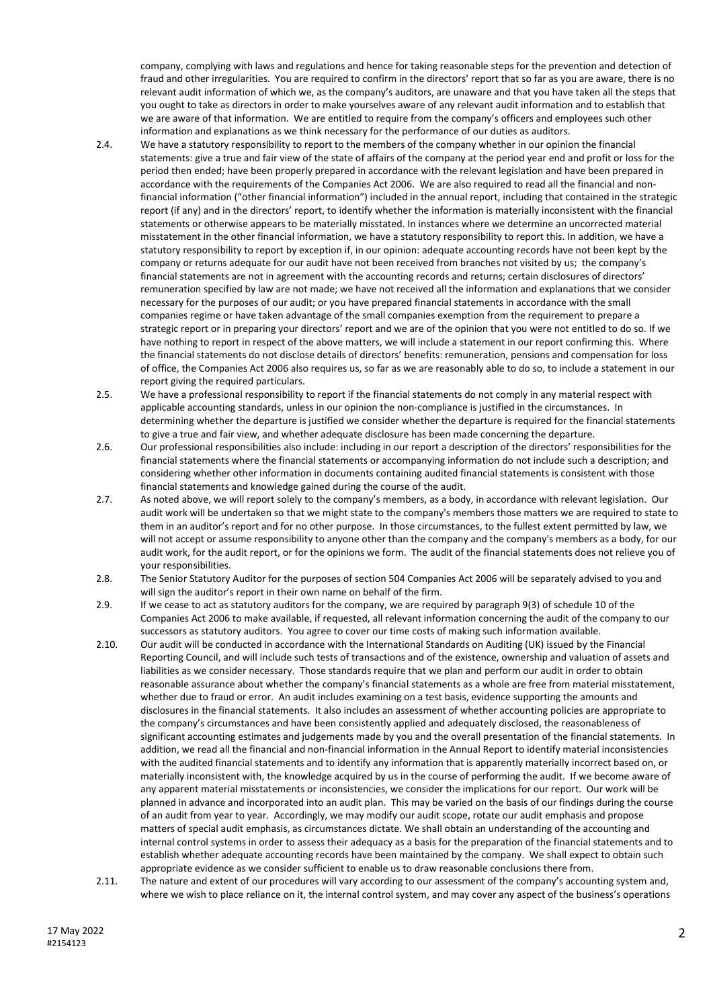company, complying with laws and regulations and hence for taking reasonable steps for the prevention and detection of fraud and other irregularities. You are required to confirm in the directors' report that so far as you are aware, there is no relevant audit information of which we, as the company's auditors, are unaware and that you have taken all the steps that you ought to take as directors in order to make yourselves aware of any relevant audit information and to establish that we are aware of that information. We are entitled to require from the company's officers and employees such other information and explanations as we think necessary for the performance of our duties as auditors.

- 2.4. We have a statutory responsibility to report to the members of the company whether in our opinion the financial statements: give a true and fair view of the state of affairs of the company at the period year end and profit or loss for the period then ended; have been properly prepared in accordance with the relevant legislation and have been prepared in accordance with the requirements of the Companies Act 2006. We are also required to read all the financial and nonfinancial information ("other financial information") included in the annual report, including that contained in the strategic report (if any) and in the directors' report, to identify whether the information is materially inconsistent with the financial statements or otherwise appears to be materially misstated. In instances where we determine an uncorrected material misstatement in the other financial information, we have a statutory responsibility to report this. In addition, we have a statutory responsibility to report by exception if, in our opinion: adequate accounting records have not been kept by the company or returns adequate for our audit have not been received from branches not visited by us; the company's financial statements are not in agreement with the accounting records and returns; certain disclosures of directors' remuneration specified by law are not made; we have not received all the information and explanations that we consider necessary for the purposes of our audit; or you have prepared financial statements in accordance with the small companies regime or have taken advantage of the small companies exemption from the requirement to prepare a strategic report or in preparing your directors' report and we are of the opinion that you were not entitled to do so. If we have nothing to report in respect of the above matters, we will include a statement in our report confirming this. Where the financial statements do not disclose details of directors' benefits: remuneration, pensions and compensation for loss of office, the Companies Act 2006 also requires us, so far as we are reasonably able to do so, to include a statement in our report giving the required particulars.
- 2.5. We have a professional responsibility to report if the financial statements do not comply in any material respect with applicable accounting standards, unless in our opinion the non-compliance is justified in the circumstances. In determining whether the departure is justified we consider whether the departure is required for the financial statements to give a true and fair view, and whether adequate disclosure has been made concerning the departure.
- 2.6. Our professional responsibilities also include: including in our report a description of the directors' responsibilities for the financial statements where the financial statements or accompanying information do not include such a description; and considering whether other information in documents containing audited financial statements is consistent with those financial statements and knowledge gained during the course of the audit.
- 2.7. As noted above, we will report solely to the company's members, as a body, in accordance with relevant legislation. Our audit work will be undertaken so that we might state to the company's members those matters we are required to state to them in an auditor's report and for no other purpose. In those circumstances, to the fullest extent permitted by law, we will not accept or assume responsibility to anyone other than the company and the company's members as a body, for our audit work, for the audit report, or for the opinions we form. The audit of the financial statements does not relieve you of your responsibilities.
- 2.8. The Senior Statutory Auditor for the purposes of section 504 Companies Act 2006 will be separately advised to you and will sign the auditor's report in their own name on behalf of the firm.
- 2.9. If we cease to act as statutory auditors for the company, we are required by paragraph 9(3) of schedule 10 of the Companies Act 2006 to make available, if requested, all relevant information concerning the audit of the company to our successors as statutory auditors. You agree to cover our time costs of making such information available.
- 2.10. Our audit will be conducted in accordance with the International Standards on Auditing (UK) issued by the Financial Reporting Council, and will include such tests of transactions and of the existence, ownership and valuation of assets and liabilities as we consider necessary. Those standards require that we plan and perform our audit in order to obtain reasonable assurance about whether the company's financial statements as a whole are free from material misstatement, whether due to fraud or error. An audit includes examining on a test basis, evidence supporting the amounts and disclosures in the financial statements. It also includes an assessment of whether accounting policies are appropriate to the company's circumstances and have been consistently applied and adequately disclosed, the reasonableness of significant accounting estimates and judgements made by you and the overall presentation of the financial statements. In addition, we read all the financial and non-financial information in the Annual Report to identify material inconsistencies with the audited financial statements and to identify any information that is apparently materially incorrect based on, or materially inconsistent with, the knowledge acquired by us in the course of performing the audit. If we become aware of any apparent material misstatements or inconsistencies, we consider the implications for our report. Our work will be planned in advance and incorporated into an audit plan. This may be varied on the basis of our findings during the course of an audit from year to year. Accordingly, we may modify our audit scope, rotate our audit emphasis and propose matters of special audit emphasis, as circumstances dictate. We shall obtain an understanding of the accounting and internal control systems in order to assess their adequacy as a basis for the preparation of the financial statements and to establish whether adequate accounting records have been maintained by the company. We shall expect to obtain such appropriate evidence as we consider sufficient to enable us to draw reasonable conclusions there from.
- 2.11. The nature and extent of our procedures will vary according to our assessment of the company's accounting system and, where we wish to place reliance on it, the internal control system, and may cover any aspect of the business's operations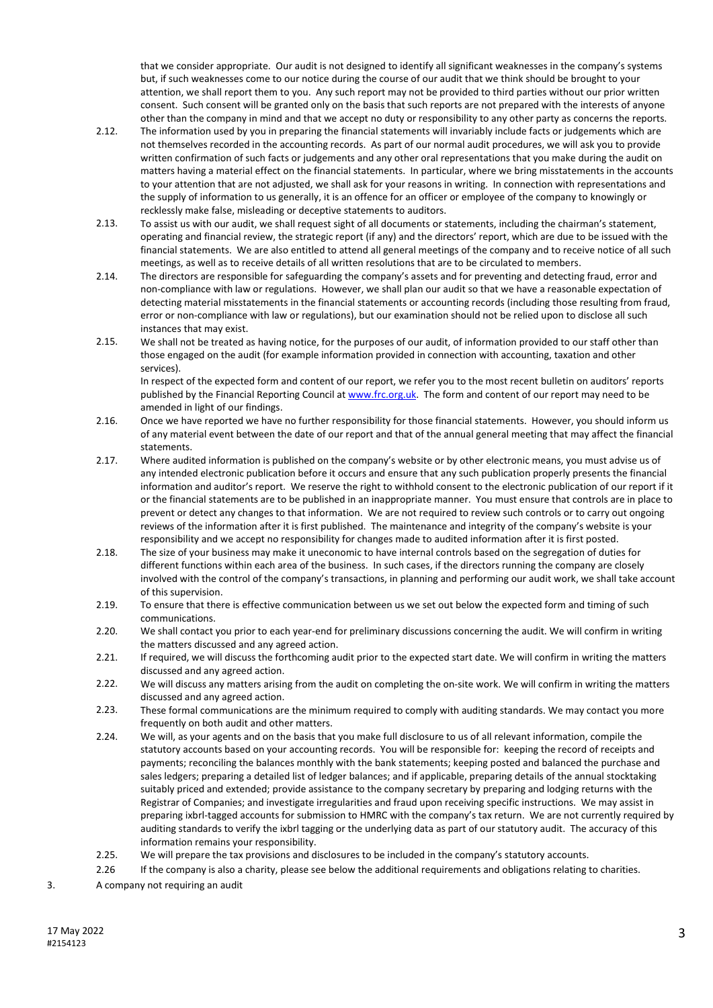that we consider appropriate. Our audit is not designed to identify all significant weaknesses in the company's systems but, if such weaknesses come to our notice during the course of our audit that we think should be brought to your attention, we shall report them to you. Any such report may not be provided to third parties without our prior written consent. Such consent will be granted only on the basis that such reports are not prepared with the interests of anyone other than the company in mind and that we accept no duty or responsibility to any other party as concerns the reports.

- 2.12. The information used by you in preparing the financial statements will invariably include facts or judgements which are not themselves recorded in the accounting records. As part of our normal audit procedures, we will ask you to provide written confirmation of such facts or judgements and any other oral representations that you make during the audit on matters having a material effect on the financial statements. In particular, where we bring misstatements in the accounts to your attention that are not adjusted, we shall ask for your reasons in writing. In connection with representations and the supply of information to us generally, it is an offence for an officer or employee of the company to knowingly or recklessly make false, misleading or deceptive statements to auditors.
- 2.13. To assist us with our audit, we shall request sight of all documents or statements, including the chairman's statement, operating and financial review, the strategic report (if any) and the directors' report, which are due to be issued with the financial statements. We are also entitled to attend all general meetings of the company and to receive notice of all such meetings, as well as to receive details of all written resolutions that are to be circulated to members.
- 2.14. The directors are responsible for safeguarding the company's assets and for preventing and detecting fraud, error and non-compliance with law or regulations. However, we shall plan our audit so that we have a reasonable expectation of detecting material misstatements in the financial statements or accounting records (including those resulting from fraud, error or non-compliance with law or regulations), but our examination should not be relied upon to disclose all such instances that may exist.
- 2.15. We shall not be treated as having notice, for the purposes of our audit, of information provided to our staff other than those engaged on the audit (for example information provided in connection with accounting, taxation and other services).

In respect of the expected form and content of our report, we refer you to the most recent bulletin on auditors' reports published by the Financial Reporting Council at www.frc.org.uk. The form and content of our report may need to be amended in light of our findings.

- 2.16. Once we have reported we have no further responsibility for those financial statements. However, you should inform us of any material event between the date of our report and that of the annual general meeting that may affect the financial statements.
- 2.17. Where audited information is published on the company's website or by other electronic means, you must advise us of any intended electronic publication before it occurs and ensure that any such publication properly presents the financial information and auditor's report. We reserve the right to withhold consent to the electronic publication of our report if it or the financial statements are to be published in an inappropriate manner. You must ensure that controls are in place to prevent or detect any changes to that information. We are not required to review such controls or to carry out ongoing reviews of the information after it is first published. The maintenance and integrity of the company's website is your responsibility and we accept no responsibility for changes made to audited information after it is first posted.
- 2.18. The size of your business may make it uneconomic to have internal controls based on the segregation of duties for different functions within each area of the business. In such cases, if the directors running the company are closely involved with the control of the company's transactions, in planning and performing our audit work, we shall take account of this supervision.
- 2.19. To ensure that there is effective communication between us we set out below the expected form and timing of such communications.
- 2.20. We shall contact you prior to each year-end for preliminary discussions concerning the audit. We will confirm in writing the matters discussed and any agreed action.
- 2.21. If required, we will discuss the forthcoming audit prior to the expected start date. We will confirm in writing the matters discussed and any agreed action.
- 2.22. We will discuss any matters arising from the audit on completing the on-site work. We will confirm in writing the matters discussed and any agreed action.
- 2.23. These formal communications are the minimum required to comply with auditing standards. We may contact you more frequently on both audit and other matters.
- 2.24. We will, as your agents and on the basis that you make full disclosure to us of all relevant information, compile the statutory accounts based on your accounting records. You will be responsible for: keeping the record of receipts and payments; reconciling the balances monthly with the bank statements; keeping posted and balanced the purchase and sales ledgers; preparing a detailed list of ledger balances; and if applicable, preparing details of the annual stocktaking suitably priced and extended; provide assistance to the company secretary by preparing and lodging returns with the Registrar of Companies; and investigate irregularities and fraud upon receiving specific instructions. We may assist in preparing ixbrl-tagged accounts for submission to HMRC with the company's tax return. We are not currently required by auditing standards to verify the ixbrl tagging or the underlying data as part of our statutory audit. The accuracy of this information remains your responsibility.
- 2.25. We will prepare the tax provisions and disclosures to be included in the company's statutory accounts.
- 2.26 If the company is also a charity, please see below the additional requirements and obligations relating to charities.
- 3. A company not requiring an audit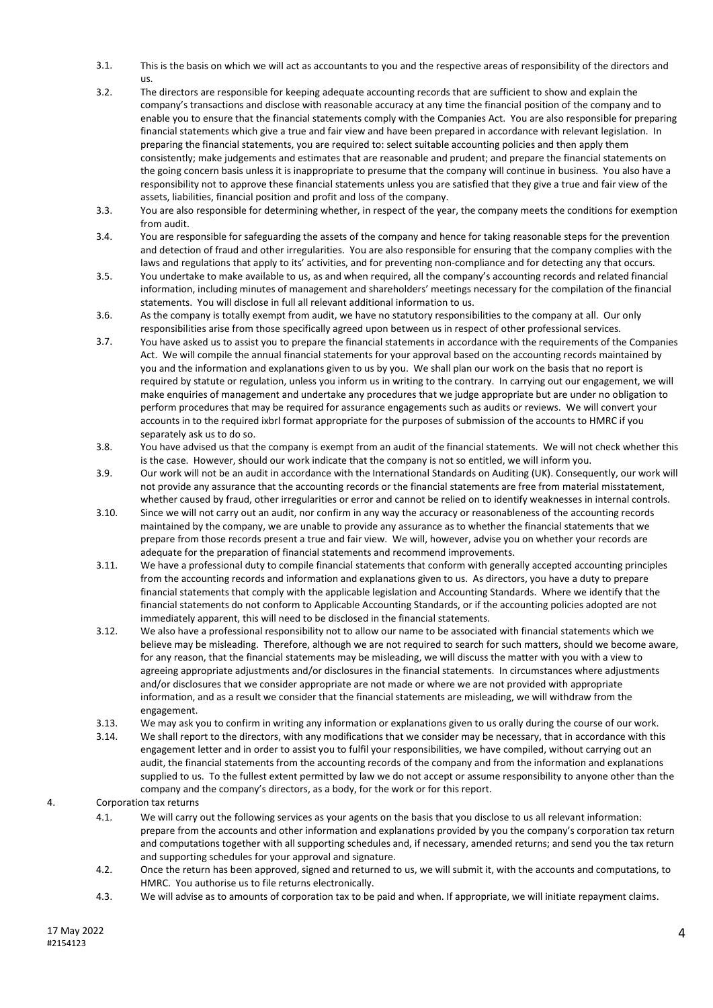- 3.1. This is the basis on which we will act as accountants to you and the respective areas of responsibility of the directors and us.
- 3.2. The directors are responsible for keeping adequate accounting records that are sufficient to show and explain the company's transactions and disclose with reasonable accuracy at any time the financial position of the company and to enable you to ensure that the financial statements comply with the Companies Act. You are also responsible for preparing financial statements which give a true and fair view and have been prepared in accordance with relevant legislation. In preparing the financial statements, you are required to: select suitable accounting policies and then apply them consistently; make judgements and estimates that are reasonable and prudent; and prepare the financial statements on the going concern basis unless it is inappropriate to presume that the company will continue in business. You also have a responsibility not to approve these financial statements unless you are satisfied that they give a true and fair view of the assets, liabilities, financial position and profit and loss of the company.
- 3.3. You are also responsible for determining whether, in respect of the year, the company meets the conditions for exemption from audit.
- 3.4. You are responsible for safeguarding the assets of the company and hence for taking reasonable steps for the prevention and detection of fraud and other irregularities. You are also responsible for ensuring that the company complies with the laws and regulations that apply to its' activities, and for preventing non-compliance and for detecting any that occurs.
- 3.5. You undertake to make available to us, as and when required, all the company's accounting records and related financial information, including minutes of management and shareholders' meetings necessary for the compilation of the financial statements. You will disclose in full all relevant additional information to us.
- 3.6. As the company is totally exempt from audit, we have no statutory responsibilities to the company at all. Our only responsibilities arise from those specifically agreed upon between us in respect of other professional services.
- 3.7. You have asked us to assist you to prepare the financial statements in accordance with the requirements of the Companies Act. We will compile the annual financial statements for your approval based on the accounting records maintained by you and the information and explanations given to us by you. We shall plan our work on the basis that no report is required by statute or regulation, unless you inform us in writing to the contrary. In carrying out our engagement, we will make enquiries of management and undertake any procedures that we judge appropriate but are under no obligation to perform procedures that may be required for assurance engagements such as audits or reviews. We will convert your accounts in to the required ixbrl format appropriate for the purposes of submission of the accounts to HMRC if you separately ask us to do so.
- 3.8. You have advised us that the company is exempt from an audit of the financial statements. We will not check whether this is the case. However, should our work indicate that the company is not so entitled, we will inform you.
- 3.9. Our work will not be an audit in accordance with the International Standards on Auditing (UK). Consequently, our work will not provide any assurance that the accounting records or the financial statements are free from material misstatement, whether caused by fraud, other irregularities or error and cannot be relied on to identify weaknesses in internal controls.
- 3.10. Since we will not carry out an audit, nor confirm in any way the accuracy or reasonableness of the accounting records maintained by the company, we are unable to provide any assurance as to whether the financial statements that we prepare from those records present a true and fair view. We will, however, advise you on whether your records are adequate for the preparation of financial statements and recommend improvements.
- 3.11. We have a professional duty to compile financial statements that conform with generally accepted accounting principles from the accounting records and information and explanations given to us. As directors, you have a duty to prepare financial statements that comply with the applicable legislation and Accounting Standards. Where we identify that the financial statements do not conform to Applicable Accounting Standards, or if the accounting policies adopted are not immediately apparent, this will need to be disclosed in the financial statements.
- 3.12. We also have a professional responsibility not to allow our name to be associated with financial statements which we believe may be misleading. Therefore, although we are not required to search for such matters, should we become aware, for any reason, that the financial statements may be misleading, we will discuss the matter with you with a view to agreeing appropriate adjustments and/or disclosures in the financial statements. In circumstances where adjustments and/or disclosures that we consider appropriate are not made or where we are not provided with appropriate information, and as a result we consider that the financial statements are misleading, we will withdraw from the engagement.
- 3.13. We may ask you to confirm in writing any information or explanations given to us orally during the course of our work.
- 3.14. We shall report to the directors, with any modifications that we consider may be necessary, that in accordance with this engagement letter and in order to assist you to fulfil your responsibilities, we have compiled, without carrying out an audit, the financial statements from the accounting records of the company and from the information and explanations supplied to us. To the fullest extent permitted by law we do not accept or assume responsibility to anyone other than the company and the company's directors, as a body, for the work or for this report.

4. Corporation tax returns

- 4.1. We will carry out the following services as your agents on the basis that you disclose to us all relevant information: prepare from the accounts and other information and explanations provided by you the company's corporation tax return and computations together with all supporting schedules and, if necessary, amended returns; and send you the tax return and supporting schedules for your approval and signature.
- 4.2. Once the return has been approved, signed and returned to us, we will submit it, with the accounts and computations, to HMRC. You authorise us to file returns electronically.
- 4.3. We will advise as to amounts of corporation tax to be paid and when. If appropriate, we will initiate repayment claims.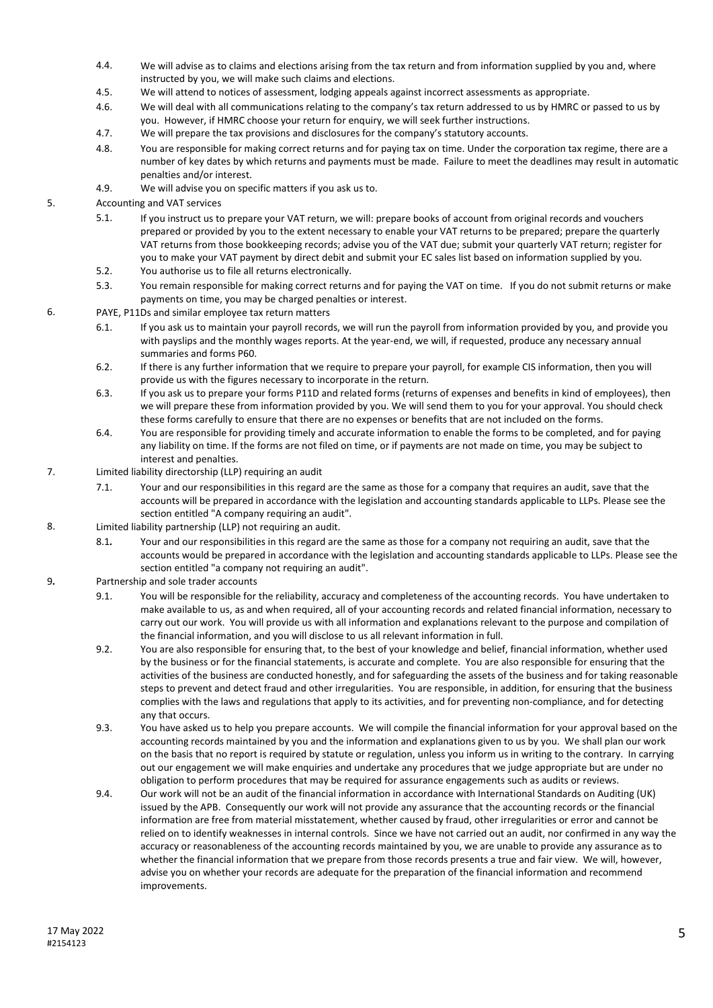- 4.4. We will advise as to claims and elections arising from the tax return and from information supplied by you and, where instructed by you, we will make such claims and elections.
- 4.5. We will attend to notices of assessment, lodging appeals against incorrect assessments as appropriate.
- 4.6. We will deal with all communications relating to the company's tax return addressed to us by HMRC or passed to us by you. However, if HMRC choose your return for enquiry, we will seek further instructions.
- 4.7. We will prepare the tax provisions and disclosures for the company's statutory accounts.
- 4.8. You are responsible for making correct returns and for paying tax on time. Under the corporation tax regime, there are a number of key dates by which returns and payments must be made. Failure to meet the deadlines may result in automatic penalties and/or interest.
- 4.9. We will advise you on specific matters if you ask us to.
- 5. Accounting and VAT services
	- 5.1. If you instruct us to prepare your VAT return, we will: prepare books of account from original records and vouchers prepared or provided by you to the extent necessary to enable your VAT returns to be prepared; prepare the quarterly VAT returns from those bookkeeping records; advise you of the VAT due; submit your quarterly VAT return; register for you to make your VAT payment by direct debit and submit your EC sales list based on information supplied by you.
	- 5.2. You authorise us to file all returns electronically.
	- 5.3. You remain responsible for making correct returns and for paying the VAT on time. If you do not submit returns or make payments on time, you may be charged penalties or interest.
- 6. PAYE, P11Ds and similar employee tax return matters
	- 6.1. If you ask us to maintain your payroll records, we will run the payroll from information provided by you, and provide you with payslips and the monthly wages reports. At the year-end, we will, if requested, produce any necessary annual summaries and forms P60.
	- 6.2. If there is any further information that we require to prepare your payroll, for example CIS information, then you will provide us with the figures necessary to incorporate in the return.
	- 6.3. If you ask us to prepare your forms P11D and related forms (returns of expenses and benefits in kind of employees), then we will prepare these from information provided by you. We will send them to you for your approval. You should check these forms carefully to ensure that there are no expenses or benefits that are not included on the forms.
	- 6.4. You are responsible for providing timely and accurate information to enable the forms to be completed, and for paying any liability on time. If the forms are not filed on time, or if payments are not made on time, you may be subject to interest and penalties.
- 7. Limited liability directorship (LLP) requiring an audit
	- 7.1. Your and our responsibilities in this regard are the same as those for a company that requires an audit, save that the accounts will be prepared in accordance with the legislation and accounting standards applicable to LLPs. Please see the section entitled "A company requiring an audit".
- 8. Limited liability partnership (LLP) not requiring an audit.
	- 8.1*.* Your and our responsibilities in this regard are the same as those for a company not requiring an audit, save that the accounts would be prepared in accordance with the legislation and accounting standards applicable to LLPs. Please see the section entitled "a company not requiring an audit".
- 9*.* Partnership and sole trader accounts
	- 9.1. You will be responsible for the reliability, accuracy and completeness of the accounting records. You have undertaken to make available to us, as and when required, all of your accounting records and related financial information, necessary to carry out our work. You will provide us with all information and explanations relevant to the purpose and compilation of the financial information, and you will disclose to us all relevant information in full.
	- 9.2. You are also responsible for ensuring that, to the best of your knowledge and belief, financial information, whether used by the business or for the financial statements, is accurate and complete. You are also responsible for ensuring that the activities of the business are conducted honestly, and for safeguarding the assets of the business and for taking reasonable steps to prevent and detect fraud and other irregularities. You are responsible, in addition, for ensuring that the business complies with the laws and regulations that apply to its activities, and for preventing non-compliance, and for detecting any that occurs.
	- 9.3. You have asked us to help you prepare accounts. We will compile the financial information for your approval based on the accounting records maintained by you and the information and explanations given to us by you. We shall plan our work on the basis that no report is required by statute or regulation, unless you inform us in writing to the contrary. In carrying out our engagement we will make enquiries and undertake any procedures that we judge appropriate but are under no obligation to perform procedures that may be required for assurance engagements such as audits or reviews.
	- 9.4. Our work will not be an audit of the financial information in accordance with International Standards on Auditing (UK) issued by the APB. Consequently our work will not provide any assurance that the accounting records or the financial information are free from material misstatement, whether caused by fraud, other irregularities or error and cannot be relied on to identify weaknesses in internal controls. Since we have not carried out an audit, nor confirmed in any way the accuracy or reasonableness of the accounting records maintained by you, we are unable to provide any assurance as to whether the financial information that we prepare from those records presents a true and fair view. We will, however, advise you on whether your records are adequate for the preparation of the financial information and recommend improvements.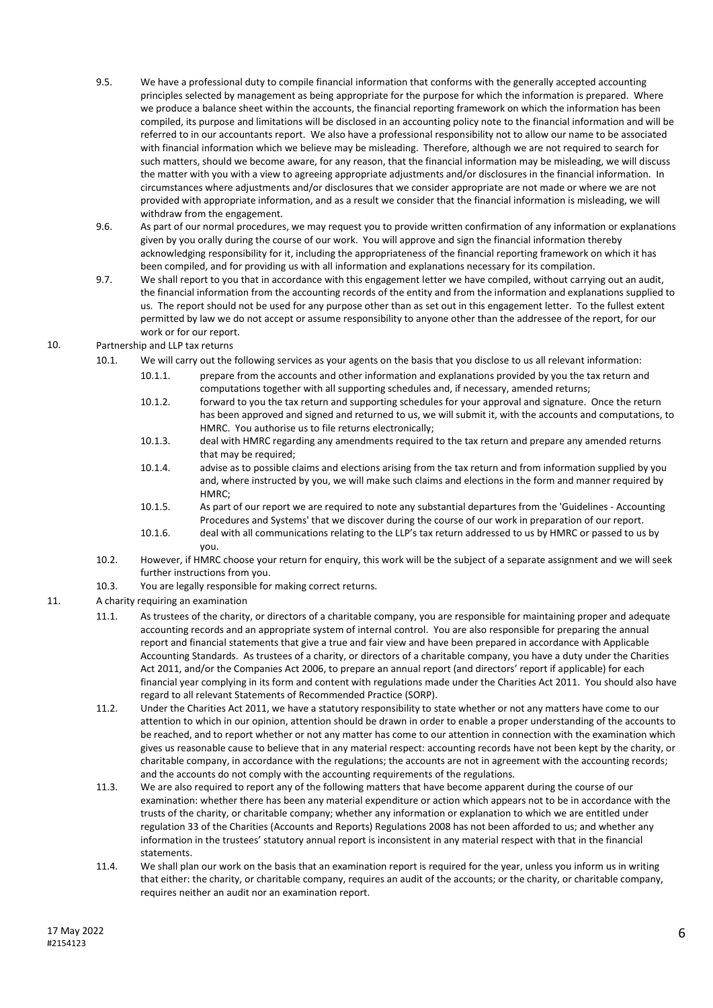- 9.5. We have a professional duty to compile financial information that conforms with the generally accepted accounting principles selected by management as being appropriate for the purpose for which the information is prepared. Where we produce a balance sheet within the accounts, the financial reporting framework on which the information has been compiled, its purpose and limitations will be disclosed in an accounting policy note to the financial information and will be referred to in our accountants report. We also have a professional responsibility not to allow our name to be associated with financial information which we believe may be misleading. Therefore, although we are not required to search for such matters, should we become aware, for any reason, that the financial information may be misleading, we will discuss the matter with you with a view to agreeing appropriate adjustments and/or disclosures in the financial information. In circumstances where adjustments and/or disclosures that we consider appropriate are not made or where we are not provided with appropriate information, and as a result we consider that the financial information is misleading, we will withdraw from the engagement.
- 9.6. As part of our normal procedures, we may request you to provide written confirmation of any information or explanations given by you orally during the course of our work. You will approve and sign the financial information thereby acknowledging responsibility for it, including the appropriateness of the financial reporting framework on which it has been compiled, and for providing us with all information and explanations necessary for its compilation.
- 9.7. We shall report to you that in accordance with this engagement letter we have compiled, without carrying out an audit, the financial information from the accounting records of the entity and from the information and explanations supplied to us. The report should not be used for any purpose other than as set out in this engagement letter. To the fullest extent permitted by law we do not accept or assume responsibility to anyone other than the addressee of the report, for our work or for our report.
- 10. Partnership and LLP tax returns
	- 10.1. We will carry out the following services as your agents on the basis that you disclose to us all relevant information:
		- 10.1.1. prepare from the accounts and other information and explanations provided by you the tax return and computations together with all supporting schedules and, if necessary, amended returns;
		- 10.1.2. forward to you the tax return and supporting schedules for your approval and signature. Once the return has been approved and signed and returned to us, we will submit it, with the accounts and computations, to HMRC. You authorise us to file returns electronically;
		- 10.1.3. deal with HMRC regarding any amendments required to the tax return and prepare any amended returns that may be required;
		- 10.1.4. advise as to possible claims and elections arising from the tax return and from information supplied by you and, where instructed by you, we will make such claims and elections in the form and manner required by HMRC;
		- 10.1.5. As part of our report we are required to note any substantial departures from the 'Guidelines Accounting Procedures and Systems' that we discover during the course of our work in preparation of our report.
		- 10.1.6. deal with all communications relating to the LLP's tax return addressed to us by HMRC or passed to us by you.
	- 10.2. However, if HMRC choose your return for enquiry, this work will be the subject of a separate assignment and we will seek further instructions from you.
	- 10.3. You are legally responsible for making correct returns.
- 11. A charity requiring an examination
	- 11.1. As trustees of the charity, or directors of a charitable company, you are responsible for maintaining proper and adequate accounting records and an appropriate system of internal control. You are also responsible for preparing the annual report and financial statements that give a true and fair view and have been prepared in accordance with Applicable Accounting Standards. As trustees of a charity, or directors of a charitable company, you have a duty under the Charities Act 2011, and/or the Companies Act 2006, to prepare an annual report (and directors' report if applicable) for each financial year complying in its form and content with regulations made under the Charities Act 2011. You should also have regard to all relevant Statements of Recommended Practice (SORP).
	- 11.2. Under the Charities Act 2011, we have a statutory responsibility to state whether or not any matters have come to our attention to which in our opinion, attention should be drawn in order to enable a proper understanding of the accounts to be reached, and to report whether or not any matter has come to our attention in connection with the examination which gives us reasonable cause to believe that in any material respect: accounting records have not been kept by the charity, or charitable company, in accordance with the regulations; the accounts are not in agreement with the accounting records; and the accounts do not comply with the accounting requirements of the regulations.
	- 11.3. We are also required to report any of the following matters that have become apparent during the course of our examination: whether there has been any material expenditure or action which appears not to be in accordance with the trusts of the charity, or charitable company; whether any information or explanation to which we are entitled under regulation 33 of the Charities (Accounts and Reports) Regulations 2008 has not been afforded to us; and whether any information in the trustees' statutory annual report is inconsistent in any material respect with that in the financial statements.
	- 11.4. We shall plan our work on the basis that an examination report is required for the year, unless you inform us in writing that either: the charity, or charitable company, requires an audit of the accounts; or the charity, or charitable company, requires neither an audit nor an examination report.

6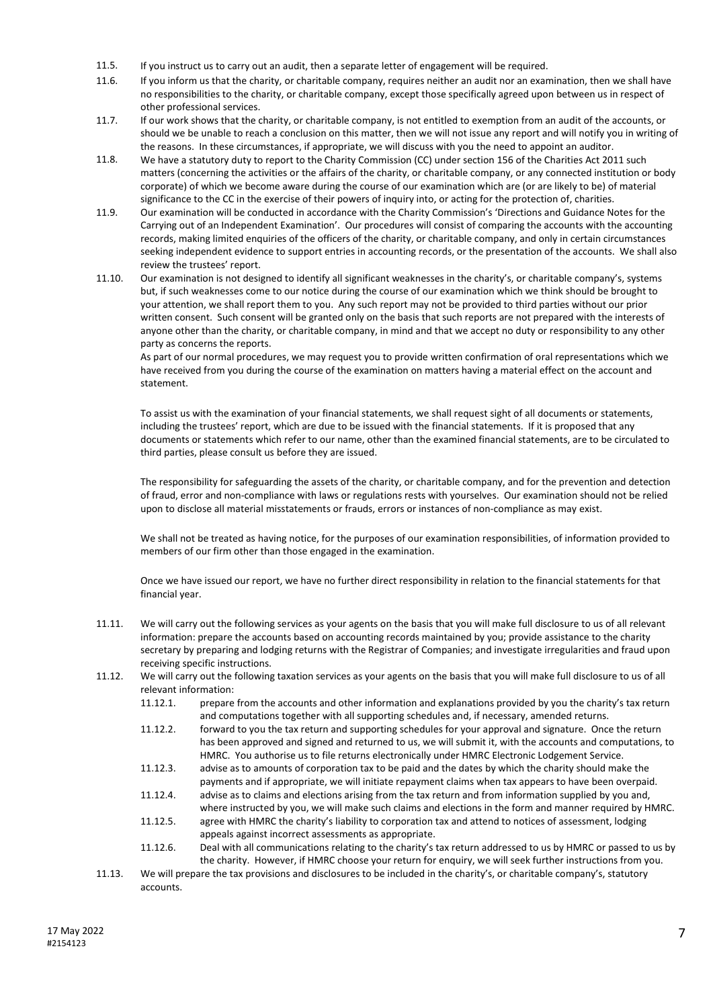- 11.5. If you instruct us to carry out an audit, then a separate letter of engagement will be required.
- 11.6. If you inform us that the charity, or charitable company, requires neither an audit nor an examination, then we shall have no responsibilities to the charity, or charitable company, except those specifically agreed upon between us in respect of other professional services.
- 11.7. If our work shows that the charity, or charitable company, is not entitled to exemption from an audit of the accounts, or should we be unable to reach a conclusion on this matter, then we will not issue any report and will notify you in writing of the reasons. In these circumstances, if appropriate, we will discuss with you the need to appoint an auditor.
- 11.8. We have a statutory duty to report to the Charity Commission (CC) under section 156 of the Charities Act 2011 such matters (concerning the activities or the affairs of the charity, or charitable company, or any connected institution or body corporate) of which we become aware during the course of our examination which are (or are likely to be) of material significance to the CC in the exercise of their powers of inquiry into, or acting for the protection of, charities.
- 11.9. Our examination will be conducted in accordance with the Charity Commission's 'Directions and Guidance Notes for the Carrying out of an Independent Examination'. Our procedures will consist of comparing the accounts with the accounting records, making limited enquiries of the officers of the charity, or charitable company, and only in certain circumstances seeking independent evidence to support entries in accounting records, or the presentation of the accounts. We shall also review the trustees' report.
- 11.10. Our examination is not designed to identify all significant weaknesses in the charity's, or charitable company's, systems but, if such weaknesses come to our notice during the course of our examination which we think should be brought to your attention, we shall report them to you. Any such report may not be provided to third parties without our prior written consent. Such consent will be granted only on the basis that such reports are not prepared with the interests of anyone other than the charity, or charitable company, in mind and that we accept no duty or responsibility to any other party as concerns the reports.

As part of our normal procedures, we may request you to provide written confirmation of oral representations which we have received from you during the course of the examination on matters having a material effect on the account and statement.

To assist us with the examination of your financial statements, we shall request sight of all documents or statements, including the trustees' report, which are due to be issued with the financial statements. If it is proposed that any documents or statements which refer to our name, other than the examined financial statements, are to be circulated to third parties, please consult us before they are issued.

The responsibility for safeguarding the assets of the charity, or charitable company, and for the prevention and detection of fraud, error and non-compliance with laws or regulations rests with yourselves. Our examination should not be relied upon to disclose all material misstatements or frauds, errors or instances of non-compliance as may exist.

We shall not be treated as having notice, for the purposes of our examination responsibilities, of information provided to members of our firm other than those engaged in the examination.

Once we have issued our report, we have no further direct responsibility in relation to the financial statements for that financial year.

- 11.11. We will carry out the following services as your agents on the basis that you will make full disclosure to us of all relevant information: prepare the accounts based on accounting records maintained by you; provide assistance to the charity secretary by preparing and lodging returns with the Registrar of Companies; and investigate irregularities and fraud upon receiving specific instructions.
- 11.12. We will carry out the following taxation services as your agents on the basis that you will make full disclosure to us of all relevant information:
	- 11.12.1. prepare from the accounts and other information and explanations provided by you the charity's tax return and computations together with all supporting schedules and, if necessary, amended returns.
	- 11.12.2. forward to you the tax return and supporting schedules for your approval and signature. Once the return has been approved and signed and returned to us, we will submit it, with the accounts and computations, to HMRC. You authorise us to file returns electronically under HMRC Electronic Lodgement Service.
	- 11.12.3. advise as to amounts of corporation tax to be paid and the dates by which the charity should make the payments and if appropriate, we will initiate repayment claims when tax appears to have been overpaid.
	- 11.12.4. advise as to claims and elections arising from the tax return and from information supplied by you and, where instructed by you, we will make such claims and elections in the form and manner required by HMRC.
	- 11.12.5. agree with HMRC the charity's liability to corporation tax and attend to notices of assessment, lodging appeals against incorrect assessments as appropriate.
	- 11.12.6. Deal with all communications relating to the charity's tax return addressed to us by HMRC or passed to us by the charity. However, if HMRC choose your return for enquiry, we will seek further instructions from you.
- 11.13. We will prepare the tax provisions and disclosures to be included in the charity's, or charitable company's, statutory accounts.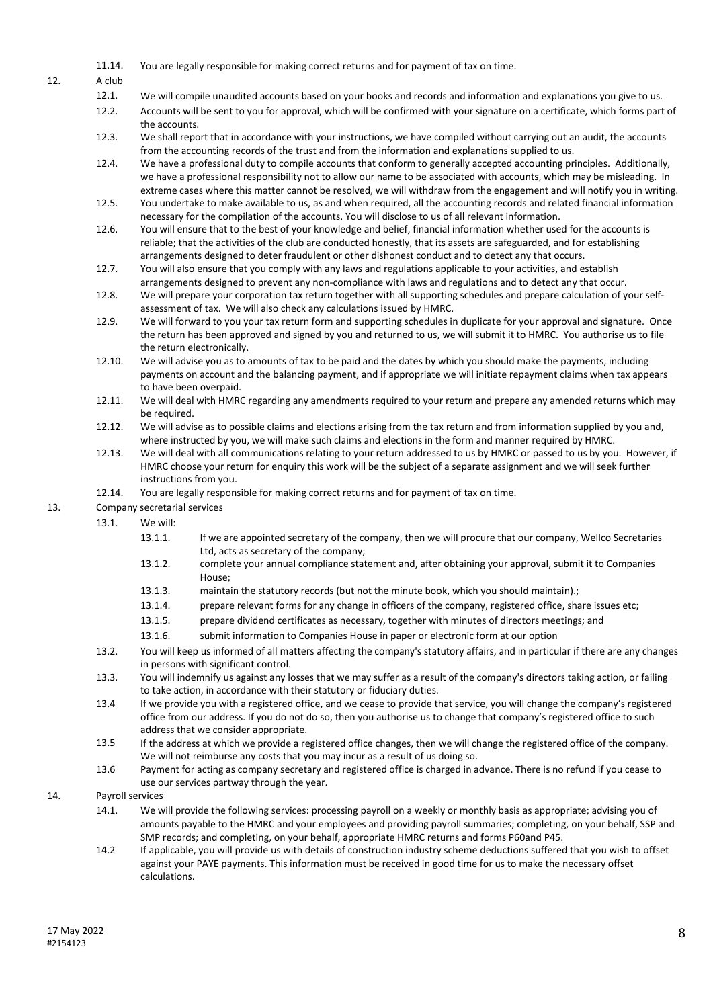11.14. You are legally responsible for making correct returns and for payment of tax on time.

12. A club

- 12.1. We will compile unaudited accounts based on your books and records and information and explanations you give to us.
- 12.2. Accounts will be sent to you for approval, which will be confirmed with your signature on a certificate, which forms part of the accounts.
- 12.3. We shall report that in accordance with your instructions, we have compiled without carrying out an audit, the accounts from the accounting records of the trust and from the information and explanations supplied to us.
- 12.4. We have a professional duty to compile accounts that conform to generally accepted accounting principles. Additionally, we have a professional responsibility not to allow our name to be associated with accounts, which may be misleading. In extreme cases where this matter cannot be resolved, we will withdraw from the engagement and will notify you in writing.
- 12.5. You undertake to make available to us, as and when required, all the accounting records and related financial information necessary for the compilation of the accounts. You will disclose to us of all relevant information.
- 12.6. You will ensure that to the best of your knowledge and belief, financial information whether used for the accounts is reliable; that the activities of the club are conducted honestly, that its assets are safeguarded, and for establishing arrangements designed to deter fraudulent or other dishonest conduct and to detect any that occurs.
- 12.7. You will also ensure that you comply with any laws and regulations applicable to your activities, and establish arrangements designed to prevent any non-compliance with laws and regulations and to detect any that occur.
- 12.8. We will prepare your corporation tax return together with all supporting schedules and prepare calculation of your selfassessment of tax. We will also check any calculations issued by HMRC.
- 12.9. We will forward to you your tax return form and supporting schedules in duplicate for your approval and signature. Once the return has been approved and signed by you and returned to us, we will submit it to HMRC. You authorise us to file the return electronically.
- 12.10. We will advise you as to amounts of tax to be paid and the dates by which you should make the payments, including payments on account and the balancing payment, and if appropriate we will initiate repayment claims when tax appears to have been overpaid.
- 12.11. We will deal with HMRC regarding any amendments required to your return and prepare any amended returns which may be required.
- 12.12. We will advise as to possible claims and elections arising from the tax return and from information supplied by you and, where instructed by you, we will make such claims and elections in the form and manner required by HMRC.
- 12.13. We will deal with all communications relating to your return addressed to us by HMRC or passed to us by you. However, if HMRC choose your return for enquiry this work will be the subject of a separate assignment and we will seek further instructions from you.
- 12.14. You are legally responsible for making correct returns and for payment of tax on time.
- 13. Company secretarial services
	- 13.1. We will:
		- 13.1.1. If we are appointed secretary of the company, then we will procure that our company, Wellco Secretaries Ltd, acts as secretary of the company;
		- 13.1.2. complete your annual compliance statement and, after obtaining your approval, submit it to Companies House;
		- 13.1.3. maintain the statutory records (but not the minute book, which you should maintain).;
		- 13.1.4. prepare relevant forms for any change in officers of the company, registered office, share issues etc;
		- 13.1.5. prepare dividend certificates as necessary, together with minutes of directors meetings; and
		- 13.1.6. submit information to Companies House in paper or electronic form at our option
	- 13.2. You will keep us informed of all matters affecting the company's statutory affairs, and in particular if there are any changes in persons with significant control.
	- 13.3. You will indemnify us against any losses that we may suffer as a result of the company's directors taking action, or failing to take action, in accordance with their statutory or fiduciary duties.
	- 13.4 If we provide you with a registered office, and we cease to provide that service, you will change the company's registered office from our address. If you do not do so, then you authorise us to change that company's registered office to such address that we consider appropriate.
	- 13.5 If the address at which we provide a registered office changes, then we will change the registered office of the company. We will not reimburse any costs that you may incur as a result of us doing so.
	- 13.6 Payment for acting as company secretary and registered office is charged in advance. There is no refund if you cease to use our services partway through the year.
- 14. Payroll services
	- 14.1. We will provide the following services: processing payroll on a weekly or monthly basis as appropriate; advising you of amounts payable to the HMRC and your employees and providing payroll summaries; completing, on your behalf, SSP and SMP records; and completing, on your behalf, appropriate HMRC returns and forms P60and P45.
	- 14.2 If applicable, you will provide us with details of construction industry scheme deductions suffered that you wish to offset against your PAYE payments. This information must be received in good time for us to make the necessary offset calculations.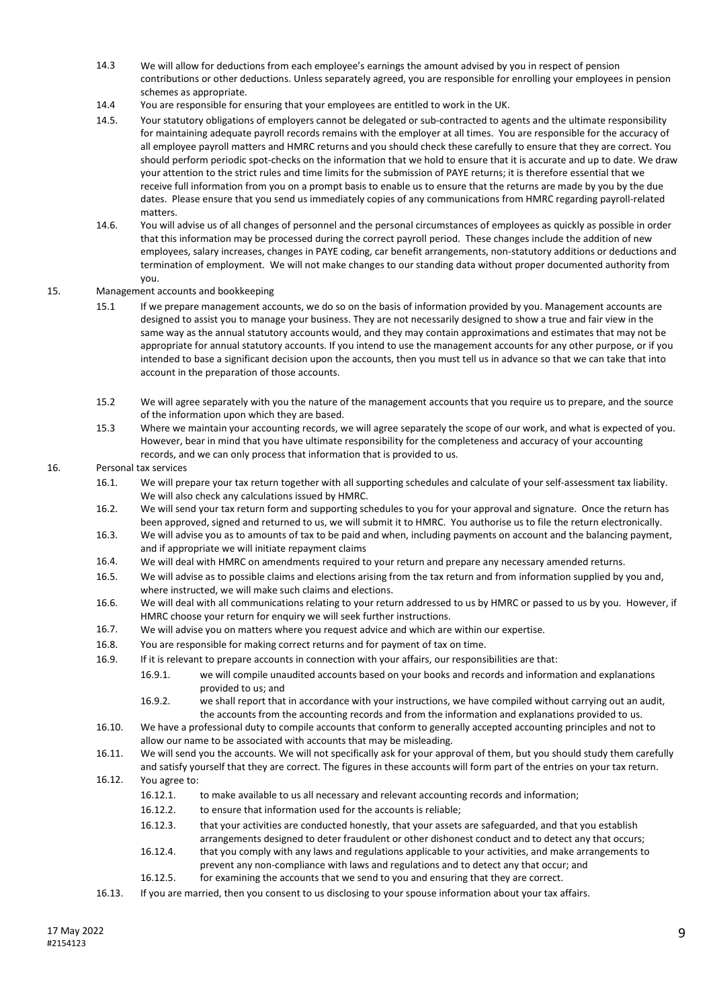- 14.3 We will allow for deductions from each employee's earnings the amount advised by you in respect of pension contributions or other deductions. Unless separately agreed, you are responsible for enrolling your employees in pension schemes as appropriate.
- 14.4 You are responsible for ensuring that your employees are entitled to work in the UK.
- 14.5. Your statutory obligations of employers cannot be delegated or sub-contracted to agents and the ultimate responsibility for maintaining adequate payroll records remains with the employer at all times. You are responsible for the accuracy of all employee payroll matters and HMRC returns and you should check these carefully to ensure that they are correct. You should perform periodic spot-checks on the information that we hold to ensure that it is accurate and up to date. We draw your attention to the strict rules and time limits for the submission of PAYE returns; it is therefore essential that we receive full information from you on a prompt basis to enable us to ensure that the returns are made by you by the due dates. Please ensure that you send us immediately copies of any communications from HMRC regarding payroll-related matters.
- 14.6. You will advise us of all changes of personnel and the personal circumstances of employees as quickly as possible in order that this information may be processed during the correct payroll period. These changes include the addition of new employees, salary increases, changes in PAYE coding, car benefit arrangements, non-statutory additions or deductions and termination of employment. We will not make changes to our standing data without proper documented authority from you.
- 15. Management accounts and bookkeeping
	- 15.1 If we prepare management accounts, we do so on the basis of information provided by you. Management accounts are designed to assist you to manage your business. They are not necessarily designed to show a true and fair view in the same way as the annual statutory accounts would, and they may contain approximations and estimates that may not be appropriate for annual statutory accounts. If you intend to use the management accounts for any other purpose, or if you intended to base a significant decision upon the accounts, then you must tell us in advance so that we can take that into account in the preparation of those accounts.
	- 15.2 We will agree separately with you the nature of the management accounts that you require us to prepare, and the source of the information upon which they are based.
	- 15.3 Where we maintain your accounting records, we will agree separately the scope of our work, and what is expected of you. However, bear in mind that you have ultimate responsibility for the completeness and accuracy of your accounting records, and we can only process that information that is provided to us.

## 16. Personal tax services

- 16.1. We will prepare your tax return together with all supporting schedules and calculate of your self-assessment tax liability. We will also check any calculations issued by HMRC.
- 16.2. We will send your tax return form and supporting schedules to you for your approval and signature. Once the return has been approved, signed and returned to us, we will submit it to HMRC. You authorise us to file the return electronically.
- 16.3. We will advise you as to amounts of tax to be paid and when, including payments on account and the balancing payment, and if appropriate we will initiate repayment claims
- 16.4. We will deal with HMRC on amendments required to your return and prepare any necessary amended returns.
- 16.5. We will advise as to possible claims and elections arising from the tax return and from information supplied by you and, where instructed, we will make such claims and elections.
- 16.6. We will deal with all communications relating to your return addressed to us by HMRC or passed to us by you. However, if HMRC choose your return for enquiry we will seek further instructions.
- 16.7. We will advise you on matters where you request advice and which are within our expertise.
- 16.8. You are responsible for making correct returns and for payment of tax on time.
- 16.9. If it is relevant to prepare accounts in connection with your affairs, our responsibilities are that:
	- 16.9.1. we will compile unaudited accounts based on your books and records and information and explanations provided to us; and
	- 16.9.2. we shall report that in accordance with your instructions, we have compiled without carrying out an audit, the accounts from the accounting records and from the information and explanations provided to us.
- 16.10. We have a professional duty to compile accounts that conform to generally accepted accounting principles and not to allow our name to be associated with accounts that may be misleading.
- 16.11. We will send you the accounts. We will not specifically ask for your approval of them, but you should study them carefully and satisfy yourself that they are correct. The figures in these accounts will form part of the entries on your tax return.
- 16.12. You agree to:
	- 16.12.1. to make available to us all necessary and relevant accounting records and information;
	- 16.12.2. to ensure that information used for the accounts is reliable;
	- 16.12.3. that your activities are conducted honestly, that your assets are safeguarded, and that you establish
	- arrangements designed to deter fraudulent or other dishonest conduct and to detect any that occurs;
	- 16.12.4. that you comply with any laws and regulations applicable to your activities, and make arrangements to prevent any non-compliance with laws and regulations and to detect any that occur; and
	- 16.12.5. for examining the accounts that we send to you and ensuring that they are correct.
- 16.13. If you are married, then you consent to us disclosing to your spouse information about your tax affairs.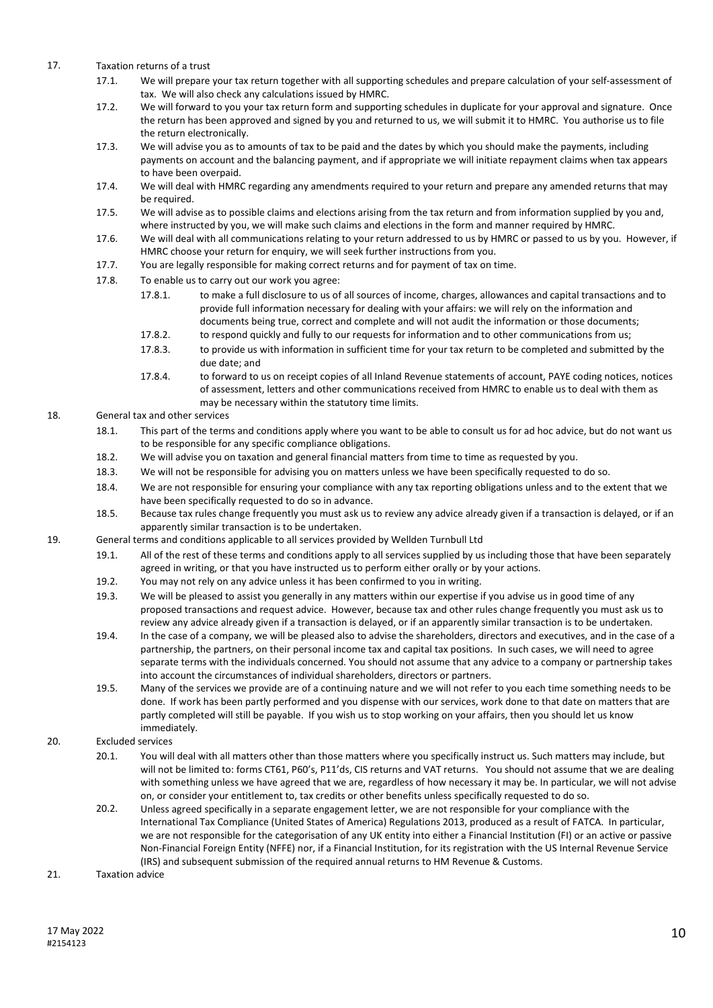- 17. Taxation returns of a trust
	- 17.1. We will prepare your tax return together with all supporting schedules and prepare calculation of your self-assessment of tax. We will also check any calculations issued by HMRC.
	- 17.2. We will forward to you your tax return form and supporting schedules in duplicate for your approval and signature. Once the return has been approved and signed by you and returned to us, we will submit it to HMRC. You authorise us to file the return electronically.
	- 17.3. We will advise you as to amounts of tax to be paid and the dates by which you should make the payments, including payments on account and the balancing payment, and if appropriate we will initiate repayment claims when tax appears to have been overpaid.
	- 17.4. We will deal with HMRC regarding any amendments required to your return and prepare any amended returns that may be required.
	- 17.5. We will advise as to possible claims and elections arising from the tax return and from information supplied by you and, where instructed by you, we will make such claims and elections in the form and manner required by HMRC.
	- 17.6. We will deal with all communications relating to your return addressed to us by HMRC or passed to us by you. However, if HMRC choose your return for enquiry, we will seek further instructions from you.
	- 17.7. You are legally responsible for making correct returns and for payment of tax on time.
	- 17.8. To enable us to carry out our work you agree:
		- 17.8.1. to make a full disclosure to us of all sources of income, charges, allowances and capital transactions and to provide full information necessary for dealing with your affairs: we will rely on the information and documents being true, correct and complete and will not audit the information or those documents;
		- 17.8.2. to respond quickly and fully to our requests for information and to other communications from us;
		- 17.8.3. to provide us with information in sufficient time for your tax return to be completed and submitted by the due date; and
		- 17.8.4. to forward to us on receipt copies of all Inland Revenue statements of account, PAYE coding notices, notices of assessment, letters and other communications received from HMRC to enable us to deal with them as may be necessary within the statutory time limits.

# 18. General tax and other services

- 18.1. This part of the terms and conditions apply where you want to be able to consult us for ad hoc advice, but do not want us to be responsible for any specific compliance obligations.
- 18.2. We will advise you on taxation and general financial matters from time to time as requested by you.
- 18.3. We will not be responsible for advising you on matters unless we have been specifically requested to do so.
- 18.4. We are not responsible for ensuring your compliance with any tax reporting obligations unless and to the extent that we have been specifically requested to do so in advance.
- 18.5. Because tax rules change frequently you must ask us to review any advice already given if a transaction is delayed, or if an apparently similar transaction is to be undertaken.
- 19. General terms and conditions applicable to all services provided by Wellden Turnbull Ltd
	- 19.1. All of the rest of these terms and conditions apply to all services supplied by us including those that have been separately agreed in writing, or that you have instructed us to perform either orally or by your actions.
	- 19.2. You may not rely on any advice unless it has been confirmed to you in writing.
	- 19.3. We will be pleased to assist you generally in any matters within our expertise if you advise us in good time of any proposed transactions and request advice. However, because tax and other rules change frequently you must ask us to review any advice already given if a transaction is delayed, or if an apparently similar transaction is to be undertaken.
	- 19.4. In the case of a company, we will be pleased also to advise the shareholders, directors and executives, and in the case of a partnership, the partners, on their personal income tax and capital tax positions. In such cases, we will need to agree separate terms with the individuals concerned. You should not assume that any advice to a company or partnership takes into account the circumstances of individual shareholders, directors or partners.
	- 19.5. Many of the services we provide are of a continuing nature and we will not refer to you each time something needs to be done. If work has been partly performed and you dispense with our services, work done to that date on matters that are partly completed will still be payable. If you wish us to stop working on your affairs, then you should let us know immediately.
- 20. Excluded services
	- 20.1. You will deal with all matters other than those matters where you specifically instruct us. Such matters may include, but will not be limited to: forms CT61, P60's, P11'ds, CIS returns and VAT returns. You should not assume that we are dealing with something unless we have agreed that we are, regardless of how necessary it may be. In particular, we will not advise on, or consider your entitlement to, tax credits or other benefits unless specifically requested to do so.
	- 20.2. Unless agreed specifically in a separate engagement letter, we are not responsible for your compliance with the International Tax Compliance (United States of America) Regulations 2013, produced as a result of FATCA. In particular, we are not responsible for the categorisation of any UK entity into either a Financial Institution (FI) or an active or passive Non-Financial Foreign Entity (NFFE) nor, if a Financial Institution, for its registration with the US Internal Revenue Service (IRS) and subsequent submission of the required annual returns to HM Revenue & Customs.
- 21. Taxation advice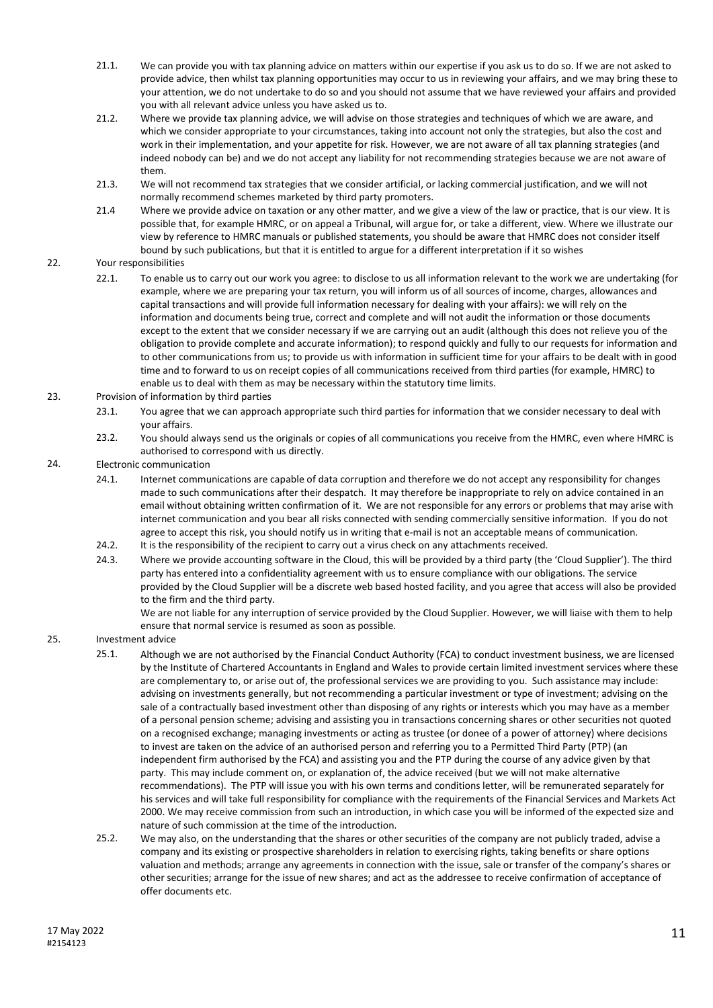- 21.1. We can provide you with tax planning advice on matters within our expertise if you ask us to do so. If we are not asked to provide advice, then whilst tax planning opportunities may occur to us in reviewing your affairs, and we may bring these to your attention, we do not undertake to do so and you should not assume that we have reviewed your affairs and provided you with all relevant advice unless you have asked us to.
- 21.2. Where we provide tax planning advice, we will advise on those strategies and techniques of which we are aware, and which we consider appropriate to your circumstances, taking into account not only the strategies, but also the cost and work in their implementation, and your appetite for risk. However, we are not aware of all tax planning strategies (and indeed nobody can be) and we do not accept any liability for not recommending strategies because we are not aware of them.
- 21.3. We will not recommend tax strategies that we consider artificial, or lacking commercial justification, and we will not normally recommend schemes marketed by third party promoters.
- 21.4 Where we provide advice on taxation or any other matter, and we give a view of the law or practice, that is our view. It is possible that, for example HMRC, or on appeal a Tribunal, will argue for, or take a different, view. Where we illustrate our view by reference to HMRC manuals or published statements, you should be aware that HMRC does not consider itself bound by such publications, but that it is entitled to argue for a different interpretation if it so wishes

# 22. Your responsibilities

- 22.1. To enable us to carry out our work you agree: to disclose to us all information relevant to the work we are undertaking (for example, where we are preparing your tax return, you will inform us of all sources of income, charges, allowances and capital transactions and will provide full information necessary for dealing with your affairs): we will rely on the information and documents being true, correct and complete and will not audit the information or those documents except to the extent that we consider necessary if we are carrying out an audit (although this does not relieve you of the obligation to provide complete and accurate information); to respond quickly and fully to our requests for information and to other communications from us; to provide us with information in sufficient time for your affairs to be dealt with in good time and to forward to us on receipt copies of all communications received from third parties (for example, HMRC) to enable us to deal with them as may be necessary within the statutory time limits.
- 23. Provision of information by third parties
	- 23.1. You agree that we can approach appropriate such third parties for information that we consider necessary to deal with your affairs.
	- 23.2. You should always send us the originals or copies of all communications you receive from the HMRC, even where HMRC is authorised to correspond with us directly.

## 24. Electronic communication

- 24.1. Internet communications are capable of data corruption and therefore we do not accept any responsibility for changes made to such communications after their despatch. It may therefore be inappropriate to rely on advice contained in an email without obtaining written confirmation of it. We are not responsible for any errors or problems that may arise with internet communication and you bear all risks connected with sending commercially sensitive information. If you do not agree to accept this risk, you should notify us in writing that e-mail is not an acceptable means of communication.
- 24.2. It is the responsibility of the recipient to carry out a virus check on any attachments received.
- 24.3. Where we provide accounting software in the Cloud, this will be provided by a third party (the 'Cloud Supplier'). The third party has entered into a confidentiality agreement with us to ensure compliance with our obligations. The service provided by the Cloud Supplier will be a discrete web based hosted facility, and you agree that access will also be provided to the firm and the third party.

We are not liable for any interruption of service provided by the Cloud Supplier. However, we will liaise with them to help ensure that normal service is resumed as soon as possible.

# 25. Investment advice

- 25.1. Although we are not authorised by the Financial Conduct Authority (FCA) to conduct investment business, we are licensed by the Institute of Chartered Accountants in England and Wales to provide certain limited investment services where these are complementary to, or arise out of, the professional services we are providing to you. Such assistance may include: advising on investments generally, but not recommending a particular investment or type of investment; advising on the sale of a contractually based investment other than disposing of any rights or interests which you may have as a member of a personal pension scheme; advising and assisting you in transactions concerning shares or other securities not quoted on a recognised exchange; managing investments or acting as trustee (or donee of a power of attorney) where decisions to invest are taken on the advice of an authorised person and referring you to a Permitted Third Party (PTP) (an independent firm authorised by the FCA) and assisting you and the PTP during the course of any advice given by that party. This may include comment on, or explanation of, the advice received (but we will not make alternative recommendations). The PTP will issue you with his own terms and conditions letter, will be remunerated separately for his services and will take full responsibility for compliance with the requirements of the Financial Services and Markets Act 2000. We may receive commission from such an introduction, in which case you will be informed of the expected size and nature of such commission at the time of the introduction.
- 25.2. We may also, on the understanding that the shares or other securities of the company are not publicly traded, advise a company and its existing or prospective shareholders in relation to exercising rights, taking benefits or share options valuation and methods; arrange any agreements in connection with the issue, sale or transfer of the company's shares or other securities; arrange for the issue of new shares; and act as the addressee to receive confirmation of acceptance of offer documents etc.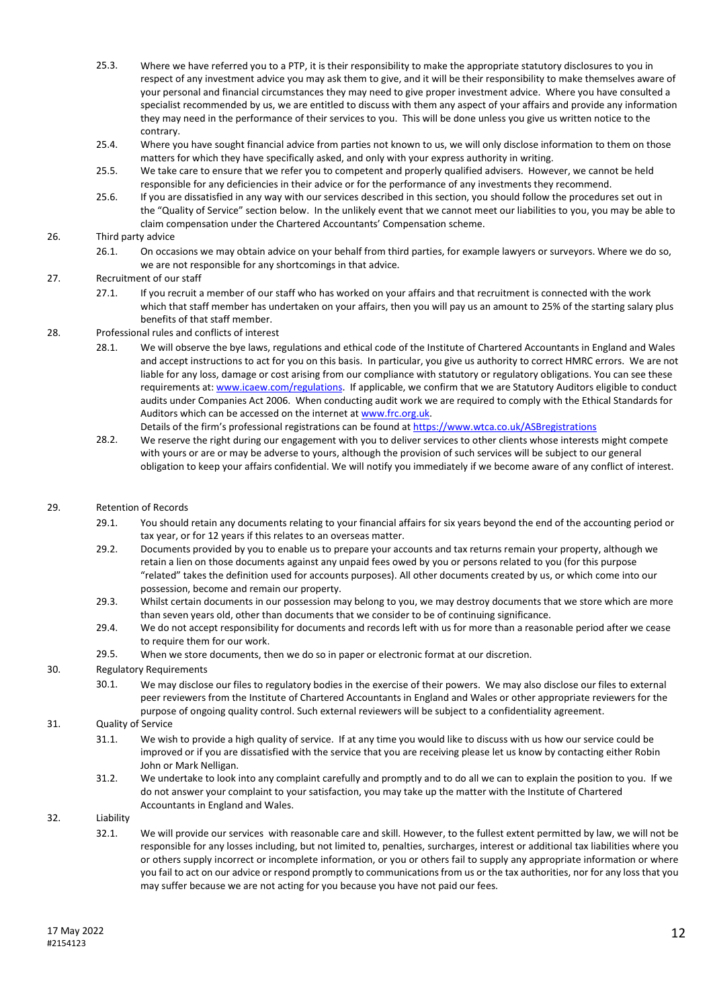- 25.3. Where we have referred you to a PTP, it is their responsibility to make the appropriate statutory disclosures to you in respect of any investment advice you may ask them to give, and it will be their responsibility to make themselves aware of your personal and financial circumstances they may need to give proper investment advice. Where you have consulted a specialist recommended by us, we are entitled to discuss with them any aspect of your affairs and provide any information they may need in the performance of their services to you. This will be done unless you give us written notice to the contrary.
- 25.4. Where you have sought financial advice from parties not known to us, we will only disclose information to them on those matters for which they have specifically asked, and only with your express authority in writing.
- 25.5. We take care to ensure that we refer you to competent and properly qualified advisers. However, we cannot be held responsible for any deficiencies in their advice or for the performance of any investments they recommend.
- 25.6. If you are dissatisfied in any way with our services described in this section, you should follow the procedures set out in the "Quality of Service" section below. In the unlikely event that we cannot meet our liabilities to you, you may be able to claim compensation under the Chartered Accountants' Compensation scheme.

## 26. Third party advice

26.1. On occasions we may obtain advice on your behalf from third parties, for example lawyers or surveyors. Where we do so, we are not responsible for any shortcomings in that advice.

# 27. Recruitment of our staff

27.1. If you recruit a member of our staff who has worked on your affairs and that recruitment is connected with the work which that staff member has undertaken on your affairs, then you will pay us an amount to 25% of the starting salary plus benefits of that staff member.

## 28. Professional rules and conflicts of interest

- 28.1. We will observe the bye laws, regulations and ethical code of the Institute of Chartered Accountants in England and Wales and accept instructions to act for you on this basis. In particular, you give us authority to correct HMRC errors. We are not liable for any loss, damage or cost arising from our compliance with statutory or regulatory obligations. You can see these requirements at: www.icaew.com/regulations. If applicable, we confirm that we are Statutory Auditors eligible to conduct audits under Companies Act 2006. When conducting audit work we are required to comply with the Ethical Standards for Auditors which can be accessed on the internet at www.frc.org.uk. Details of the firm's professional registrations can be found at https://www.wtca.co.uk/ASBregistrations
- 28.2. We reserve the right during our engagement with you to deliver services to other clients whose interests might compete with yours or are or may be adverse to yours, although the provision of such services will be subject to our general obligation to keep your affairs confidential. We will notify you immediately if we become aware of any conflict of interest.

## 29. Retention of Records

- 29.1. You should retain any documents relating to your financial affairs for six years beyond the end of the accounting period or tax year, or for 12 years if this relates to an overseas matter.
- 29.2. Documents provided by you to enable us to prepare your accounts and tax returns remain your property, although we retain a lien on those documents against any unpaid fees owed by you or persons related to you (for this purpose "related" takes the definition used for accounts purposes). All other documents created by us, or which come into our possession, become and remain our property.
- 29.3. Whilst certain documents in our possession may belong to you, we may destroy documents that we store which are more than seven years old, other than documents that we consider to be of continuing significance.
- 29.4. We do not accept responsibility for documents and records left with us for more than a reasonable period after we cease to require them for our work.
- 29.5. When we store documents, then we do so in paper or electronic format at our discretion.

## 30. Regulatory Requirements

30.1. We may disclose our files to regulatory bodies in the exercise of their powers. We may also disclose our files to external peer reviewers from the Institute of Chartered Accountants in England and Wales or other appropriate reviewers for the purpose of ongoing quality control. Such external reviewers will be subject to a confidentiality agreement.

# 31. Quality of Service

- 31.1. We wish to provide a high quality of service. If at any time you would like to discuss with us how our service could be improved or if you are dissatisfied with the service that you are receiving please let us know by contacting either Robin John or Mark Nelligan.
- 31.2. We undertake to look into any complaint carefully and promptly and to do all we can to explain the position to you. If we do not answer your complaint to your satisfaction, you may take up the matter with the Institute of Chartered Accountants in England and Wales.

# 32. Liability

32.1. We will provide our services with reasonable care and skill. However, to the fullest extent permitted by law, we will not be responsible for any losses including, but not limited to, penalties, surcharges, interest or additional tax liabilities where you or others supply incorrect or incomplete information, or you or others fail to supply any appropriate information or where you fail to act on our advice or respond promptly to communications from us or the tax authorities, nor for any loss that you may suffer because we are not acting for you because you have not paid our fees.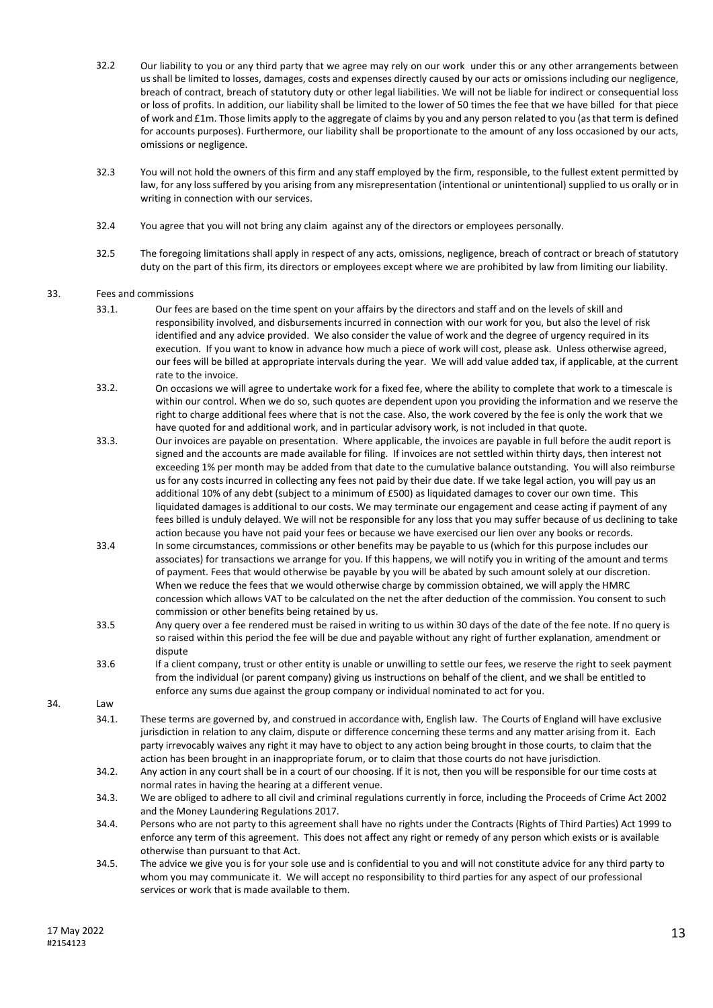- 32.2 Our liability to you or any third party that we agree may rely on our work under this or any other arrangements between us shall be limited to losses, damages, costs and expenses directly caused by our acts or omissions including our negligence, breach of contract, breach of statutory duty or other legal liabilities. We will not be liable for indirect or consequential loss or loss of profits. In addition, our liability shall be limited to the lower of 50 times the fee that we have billed for that piece of work and £1m. Those limits apply to the aggregate of claims by you and any person related to you (as that term is defined for accounts purposes). Furthermore, our liability shall be proportionate to the amount of any loss occasioned by our acts, omissions or negligence.
- 32.3 You will not hold the owners of this firm and any staff employed by the firm, responsible, to the fullest extent permitted by law, for any loss suffered by you arising from any misrepresentation (intentional or unintentional) supplied to us orally or in writing in connection with our services.
- 32.4 You agree that you will not bring any claim against any of the directors or employees personally.
- 32.5 The foregoing limitations shall apply in respect of any acts, omissions, negligence, breach of contract or breach of statutory duty on the part of this firm, its directors or employees except where we are prohibited by law from limiting our liability.

### 33. Fees and commissions

- 33.1. Our fees are based on the time spent on your affairs by the directors and staff and on the levels of skill and responsibility involved, and disbursements incurred in connection with our work for you, but also the level of risk identified and any advice provided. We also consider the value of work and the degree of urgency required in its execution. If you want to know in advance how much a piece of work will cost, please ask. Unless otherwise agreed, our fees will be billed at appropriate intervals during the year. We will add value added tax, if applicable, at the current rate to the invoice.
- 33.2. On occasions we will agree to undertake work for a fixed fee, where the ability to complete that work to a timescale is within our control. When we do so, such quotes are dependent upon you providing the information and we reserve the right to charge additional fees where that is not the case. Also, the work covered by the fee is only the work that we have quoted for and additional work, and in particular advisory work, is not included in that quote.
- 33.3. Our invoices are payable on presentation. Where applicable, the invoices are payable in full before the audit report is signed and the accounts are made available for filing. If invoices are not settled within thirty days, then interest not exceeding 1% per month may be added from that date to the cumulative balance outstanding. You will also reimburse us for any costs incurred in collecting any fees not paid by their due date. If we take legal action, you will pay us an additional 10% of any debt (subject to a minimum of £500) as liquidated damages to cover our own time. This liquidated damages is additional to our costs. We may terminate our engagement and cease acting if payment of any fees billed is unduly delayed. We will not be responsible for any loss that you may suffer because of us declining to take action because you have not paid your fees or because we have exercised our lien over any books or records.
- 33.4 In some circumstances, commissions or other benefits may be payable to us (which for this purpose includes our associates) for transactions we arrange for you. If this happens, we will notify you in writing of the amount and terms of payment. Fees that would otherwise be payable by you will be abated by such amount solely at our discretion. When we reduce the fees that we would otherwise charge by commission obtained, we will apply the HMRC concession which allows VAT to be calculated on the net the after deduction of the commission. You consent to such commission or other benefits being retained by us.
- 33.5 Any query over a fee rendered must be raised in writing to us within 30 days of the date of the fee note. If no query is so raised within this period the fee will be due and payable without any right of further explanation, amendment or dispute
- 33.6 If a client company, trust or other entity is unable or unwilling to settle our fees, we reserve the right to seek payment from the individual (or parent company) giving us instructions on behalf of the client, and we shall be entitled to enforce any sums due against the group company or individual nominated to act for you.

34. Law

- 34.1. These terms are governed by, and construed in accordance with, English law. The Courts of England will have exclusive jurisdiction in relation to any claim, dispute or difference concerning these terms and any matter arising from it. Each party irrevocably waives any right it may have to object to any action being brought in those courts, to claim that the action has been brought in an inappropriate forum, or to claim that those courts do not have jurisdiction.
- 34.2. Any action in any court shall be in a court of our choosing. If it is not, then you will be responsible for our time costs at normal rates in having the hearing at a different venue.
- 34.3. We are obliged to adhere to all civil and criminal regulations currently in force, including the Proceeds of Crime Act 2002 and the Money Laundering Regulations 2017.
- 34.4. Persons who are not party to this agreement shall have no rights under the Contracts (Rights of Third Parties) Act 1999 to enforce any term of this agreement. This does not affect any right or remedy of any person which exists or is available otherwise than pursuant to that Act.
- 34.5. The advice we give you is for your sole use and is confidential to you and will not constitute advice for any third party to whom you may communicate it. We will accept no responsibility to third parties for any aspect of our professional services or work that is made available to them.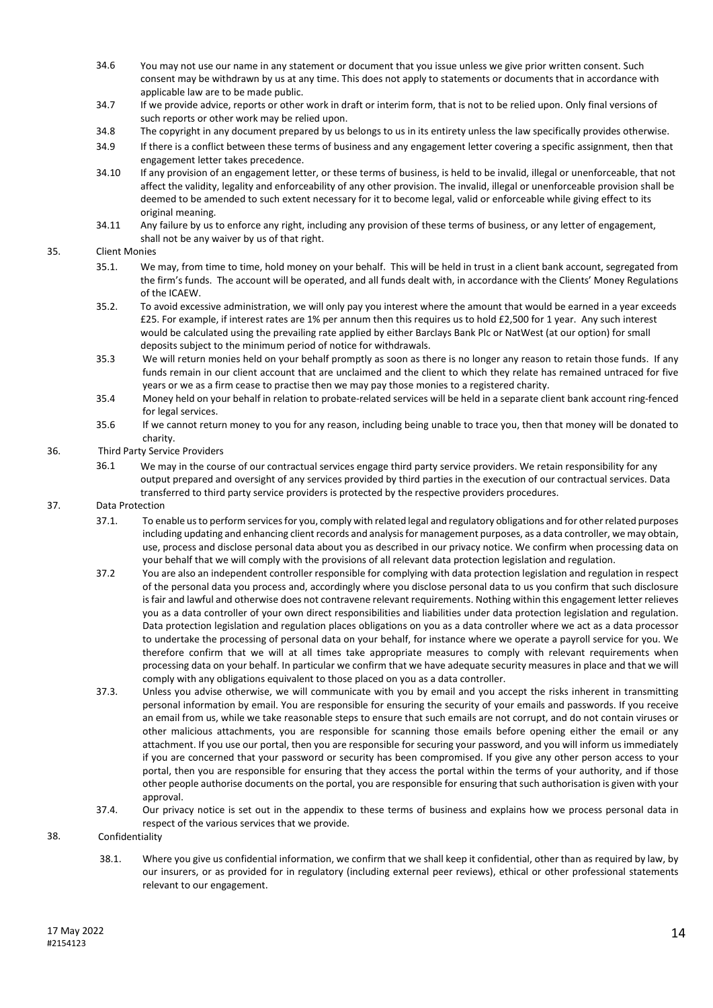- 34.6 You may not use our name in any statement or document that you issue unless we give prior written consent. Such consent may be withdrawn by us at any time. This does not apply to statements or documents that in accordance with applicable law are to be made public.
- 34.7 If we provide advice, reports or other work in draft or interim form, that is not to be relied upon. Only final versions of such reports or other work may be relied upon.
- 34.8 The copyright in any document prepared by us belongs to us in its entirety unless the law specifically provides otherwise.
- 34.9 If there is a conflict between these terms of business and any engagement letter covering a specific assignment, then that engagement letter takes precedence.
- 34.10 If any provision of an engagement letter, or these terms of business, is held to be invalid, illegal or unenforceable, that not affect the validity, legality and enforceability of any other provision. The invalid, illegal or unenforceable provision shall be deemed to be amended to such extent necessary for it to become legal, valid or enforceable while giving effect to its original meaning.
- 34.11 Any failure by us to enforce any right, including any provision of these terms of business, or any letter of engagement, shall not be any waiver by us of that right.

## 35. Client Monies

- 35.1. We may, from time to time, hold money on your behalf. This will be held in trust in a client bank account, segregated from the firm's funds. The account will be operated, and all funds dealt with, in accordance with the Clients' Money Regulations of the ICAEW.
- 35.2. To avoid excessive administration, we will only pay you interest where the amount that would be earned in a year exceeds £25. For example, if interest rates are 1% per annum then this requires us to hold £2,500 for 1 year. Any such interest would be calculated using the prevailing rate applied by either Barclays Bank Plc or NatWest (at our option) for small deposits subject to the minimum period of notice for withdrawals.
- 35.3 We will return monies held on your behalf promptly as soon as there is no longer any reason to retain those funds. If any funds remain in our client account that are unclaimed and the client to which they relate has remained untraced for five years or we as a firm cease to practise then we may pay those monies to a registered charity.
- 35.4 Money held on your behalf in relation to probate-related services will be held in a separate client bank account ring-fenced for legal services.
- 35.6 If we cannot return money to you for any reason, including being unable to trace you, then that money will be donated to charity.

# 36. Third Party Service Providers

36.1 We may in the course of our contractual services engage third party service providers. We retain responsibility for any output prepared and oversight of any services provided by third parties in the execution of our contractual services. Data transferred to third party service providers is protected by the respective providers procedures.

# 37. Data Protection

- 37.1. To enable us to perform services for you, comply with related legal and regulatory obligations and for other related purposes including updating and enhancing client records and analysis for management purposes, as a data controller, we may obtain, use, process and disclose personal data about you as described in our privacy notice. We confirm when processing data on your behalf that we will comply with the provisions of all relevant data protection legislation and regulation.
- 37.2 You are also an independent controller responsible for complying with data protection legislation and regulation in respect of the personal data you process and, accordingly where you disclose personal data to us you confirm that such disclosure is fair and lawful and otherwise does not contravene relevant requirements. Nothing within this engagement letter relieves you as a data controller of your own direct responsibilities and liabilities under data protection legislation and regulation. Data protection legislation and regulation places obligations on you as a data controller where we act as a data processor to undertake the processing of personal data on your behalf, for instance where we operate a payroll service for you. We therefore confirm that we will at all times take appropriate measures to comply with relevant requirements when processing data on your behalf. In particular we confirm that we have adequate security measures in place and that we will comply with any obligations equivalent to those placed on you as a data controller.
- 37.3. Unless you advise otherwise, we will communicate with you by email and you accept the risks inherent in transmitting personal information by email. You are responsible for ensuring the security of your emails and passwords. If you receive an email from us, while we take reasonable steps to ensure that such emails are not corrupt, and do not contain viruses or other malicious attachments, you are responsible for scanning those emails before opening either the email or any attachment. If you use our portal, then you are responsible for securing your password, and you will inform us immediately if you are concerned that your password or security has been compromised. If you give any other person access to your portal, then you are responsible for ensuring that they access the portal within the terms of your authority, and if those other people authorise documents on the portal, you are responsible for ensuring that such authorisation is given with your approval.
- 37.4. Our privacy notice is set out in the appendix to these terms of business and explains how we process personal data in respect of the various services that we provide.

### 38. Confidentiality

38.1. Where you give us confidential information, we confirm that we shall keep it confidential, other than as required by law, by our insurers, or as provided for in regulatory (including external peer reviews), ethical or other professional statements relevant to our engagement.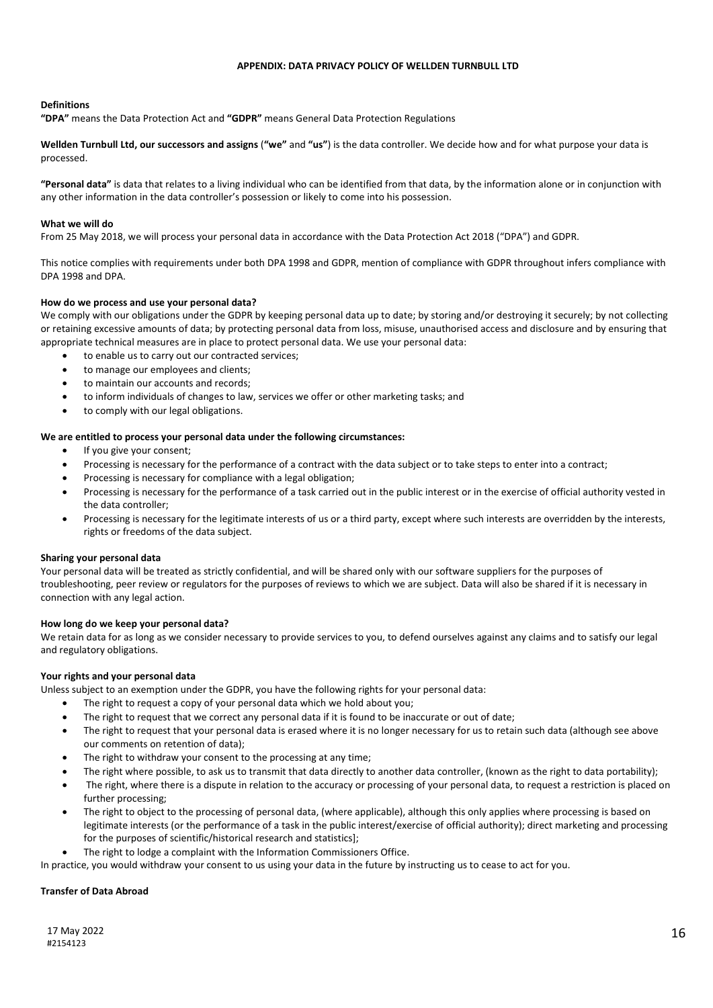#### **APPENDIX: DATA PRIVACY POLICY OF WELLDEN TURNBULL LTD**

# **Definitions**

**"DPA"** means the Data Protection Act and **"GDPR"** means General Data Protection Regulations

**Wellden Turnbull Ltd, our successors and assigns** (**"we"** and **"us"**) is the data controller. We decide how and for what purpose your data is processed.

**"Personal data"** is data that relates to a living individual who can be identified from that data, by the information alone or in conjunction with any other information in the data controller's possession or likely to come into his possession.

#### **What we will do**

From 25 May 2018, we will process your personal data in accordance with the Data Protection Act 2018 ("DPA") and GDPR.

This notice complies with requirements under both DPA 1998 and GDPR, mention of compliance with GDPR throughout infers compliance with DPA 1998 and DPA.

### **How do we process and use your personal data?**

We comply with our obligations under the GDPR by keeping personal data up to date; by storing and/or destroying it securely; by not collecting or retaining excessive amounts of data; by protecting personal data from loss, misuse, unauthorised access and disclosure and by ensuring that appropriate technical measures are in place to protect personal data. We use your personal data:

- to enable us to carry out our contracted services;
- to manage our employees and clients;
- to maintain our accounts and records;
- to inform individuals of changes to law, services we offer or other marketing tasks; and
- to comply with our legal obligations.

#### **We are entitled to process your personal data under the following circumstances:**

- If you give your consent;
- Processing is necessary for the performance of a contract with the data subject or to take steps to enter into a contract;
- Processing is necessary for compliance with a legal obligation;
- Processing is necessary for the performance of a task carried out in the public interest or in the exercise of official authority vested in the data controller;
- Processing is necessary for the legitimate interests of us or a third party, except where such interests are overridden by the interests, rights or freedoms of the data subject.

#### **Sharing your personal data**

Your personal data will be treated as strictly confidential, and will be shared only with our software suppliers for the purposes of troubleshooting, peer review or regulators for the purposes of reviews to which we are subject. Data will also be shared if it is necessary in connection with any legal action.

#### **How long do we keep your personal data?**

We retain data for as long as we consider necessary to provide services to you, to defend ourselves against any claims and to satisfy our legal and regulatory obligations.

### **Your rights and your personal data**

Unless subject to an exemption under the GDPR, you have the following rights for your personal data:

- The right to request a copy of your personal data which we hold about you;
- The right to request that we correct any personal data if it is found to be inaccurate or out of date;
- The right to request that your personal data is erased where it is no longer necessary for us to retain such data (although see above our comments on retention of data);
- The right to withdraw your consent to the processing at any time;
- The right where possible, to ask us to transmit that data directly to another data controller, (known as the right to data portability);
- The right, where there is a dispute in relation to the accuracy or processing of your personal data, to request a restriction is placed on further processing;
- The right to object to the processing of personal data, (where applicable), although this only applies where processing is based on legitimate interests (or the performance of a task in the public interest/exercise of official authority); direct marketing and processing for the purposes of scientific/historical research and statistics];
- The right to lodge a complaint with the Information Commissioners Office.

In practice, you would withdraw your consent to us using your data in the future by instructing us to cease to act for you.

### **Transfer of Data Abroad**